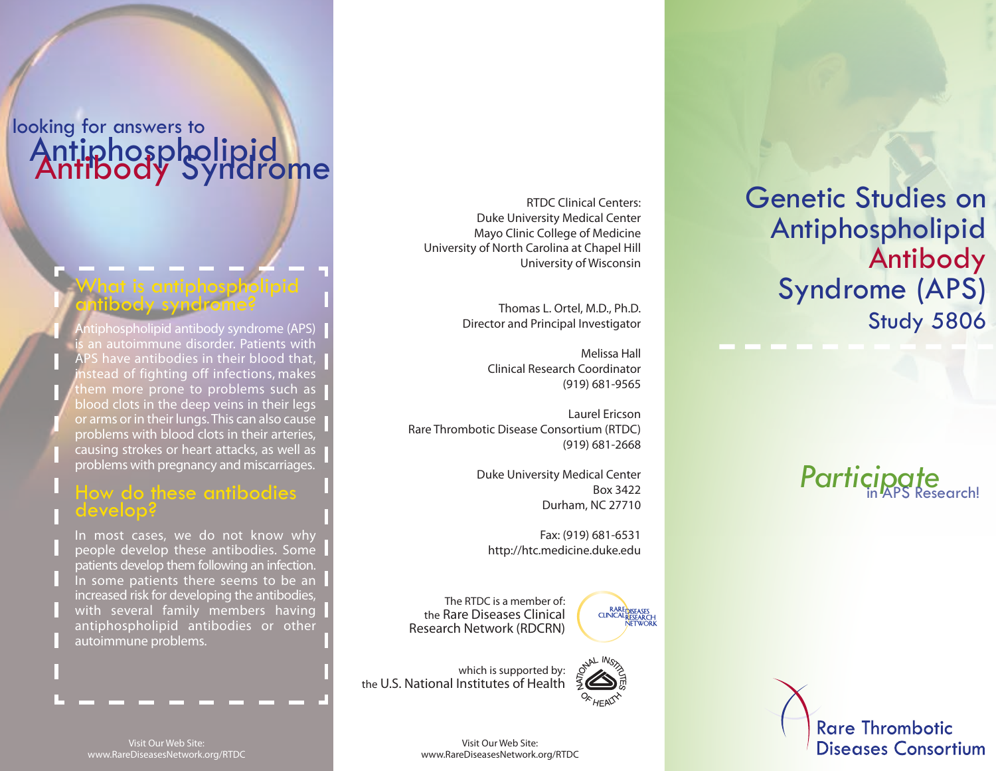# looking for answers to Antiphospholipid Antibody Syndrome

### What is antiphospholipid antibody syndrome?

tiphospholipid antibody syndrome (APS) an autoimmune disorder. Patients with APS have antibodies in their blood that, nstead of fighting off infections, makes them more prone to problems such as blood clots in the deep veins in their legs or arms or in their lungs. This can also cause problems with blood clots in their arteries, causing strokes or heart attacks, as well as problems with pregnancy and miscarriages.

#### How do these antibodies develop?

In most cases, we do not know why people develop these antibodies. Some patients develop them following an infection. In some patients there seems to be an increased risk for developing the antibodies, with several family members having antiphospholipid antibodies or other autoimmune problems.

RTDC Clinical Centers: Duke University Medical Center Mayo Clinic College of Medicine University of North Carolina at Chapel Hill University of Wisconsin

> Thomas L. Ortel, M.D., Ph.D. Director and Principal Investigator

> > Melissa Hall Clinical Research Coordinator (919) 681-9565

Laurel Ericson Rare Thrombotic Disease Consortium (RTDC) (919) 681-2668

> Duke University Medical Center Box 3422 Durham, NC 27710

Fax: (919) 681-6531 http://htc.medicine.duke.edu

The RTDC is a member of: the Rare Diseases Clinical Research Network (RDCRN)

which is supported by: the U.S. National Institutes of Health



Genetic Studies on Antiphospholipid Antibody Syndrome (APS) **Study 5806** 

**Participate** 

**Rare Thrombotic Diseases Consortium** 

Visit Our Web Site: www.RareDiseasesNetwork.org/RTDC

Visit Our Web Site: www.RareDiseasesNetwork.org/RTDC